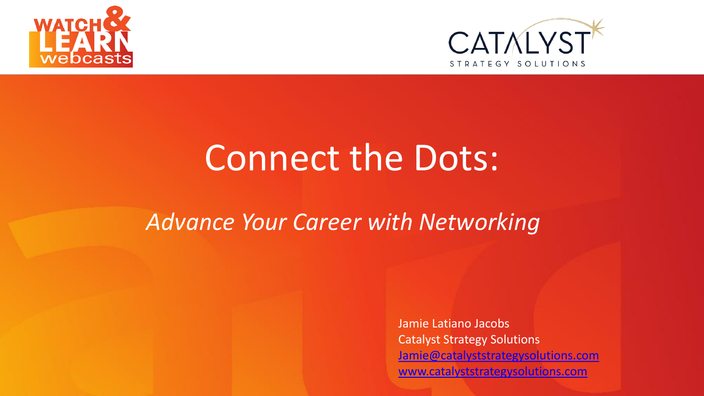



# Connect the Dots:

#### *Subhead Can Be Placed Here Advance Your Career with Networking*

Jamie Latiano Jacobs Catalyst Strategy Solutions [Jamie@catalyststrategysolutions.com](mailto:Jamie@catalyststrategysolutions.com) [www.catalyststrategysolutions.com](http://www.catalyststrategysolutions.com/)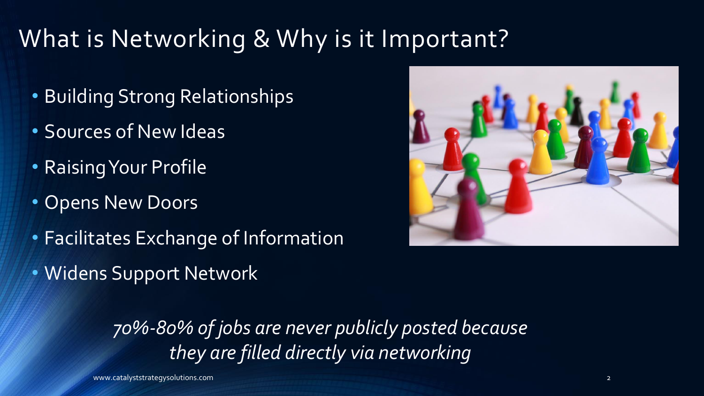### What is Networking & Why is it Important?

- Building Strong Relationships
- Sources of New Ideas
- Raising Your Profile
- Opens New Doors
- Facilitates Exchange of Information
- Widens Support Network

*70%-80% of jobs are never publicly posted because they are filled directly via networking*

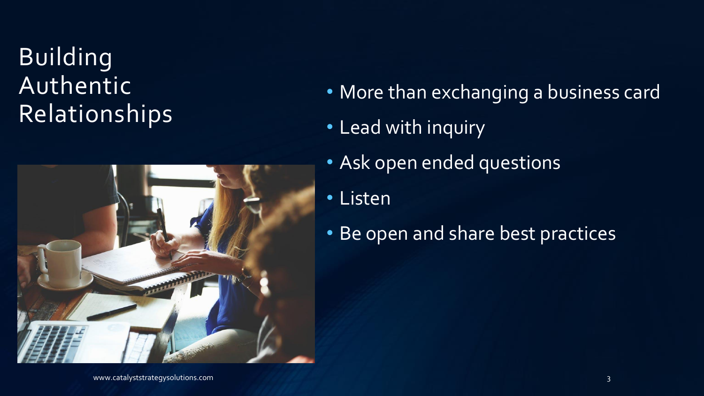#### Building Authentic Relationships



- More than exchanging a business card
- Lead with inquiry
- Ask open ended questions
- Listen
- Be open and share best practices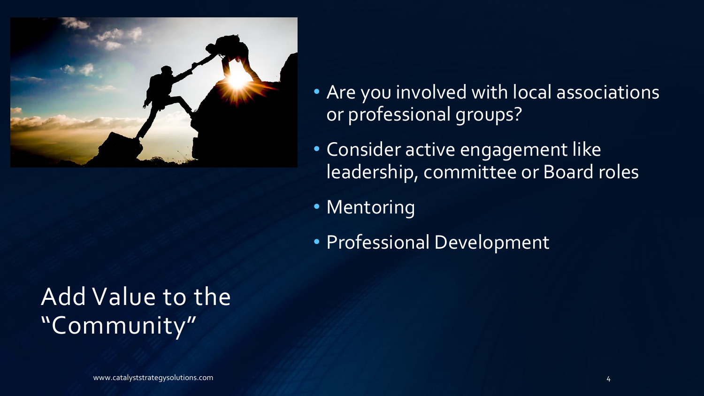

- Are you involved with local associations or professional groups?
- Consider active engagement like leadership, committee or Board roles
- Mentoring
- Professional Development

#### Add Value to the "Community"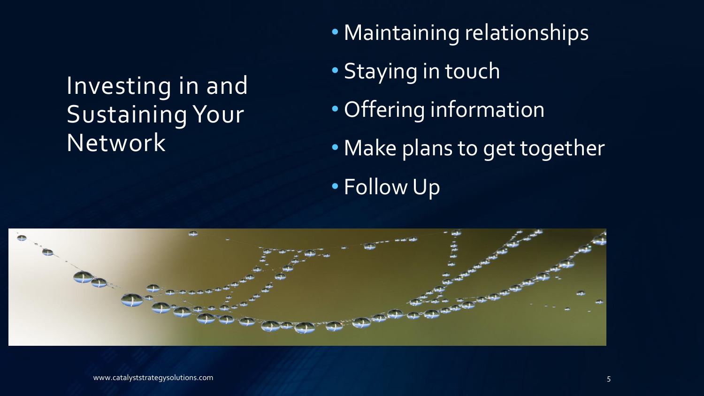#### Investing in and Sustaining Your Network

- Maintaining relationships
- Staying in touch
- Offering information
- Make plans to get together
- Follow Up

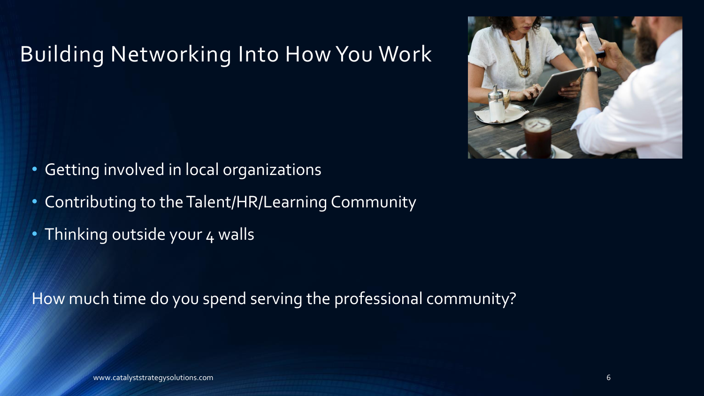#### Building Networking Into How You Work



- Getting involved in local organizations
- Contributing to the Talent/HR/Learning Community
- Thinking outside your 4 walls

How much time do you spend serving the professional community?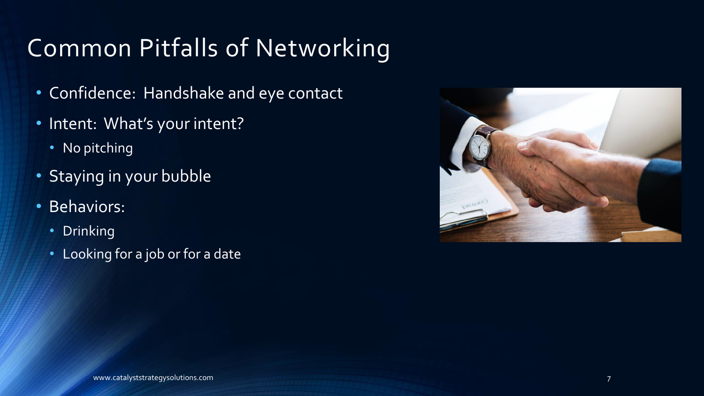## Common Pitfalls of Networking

- Confidence: Handshake and eye contact
- Intent: What's your intent?
	- No pitching
- Staying in your bubble
- Behaviors:
	- Drinking
	- Looking for a job or for a date

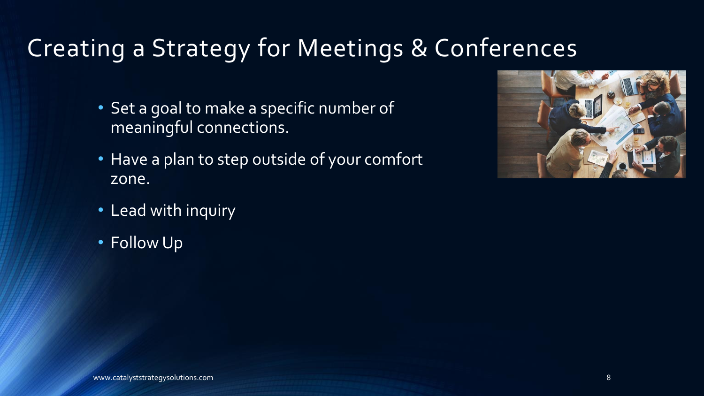#### Creating a Strategy for Meetings & Conferences

- Set a goal to make a specific number of meaningful connections.
- Have a plan to step outside of your comfort zone.

- Lead with inquiry
- Follow Up